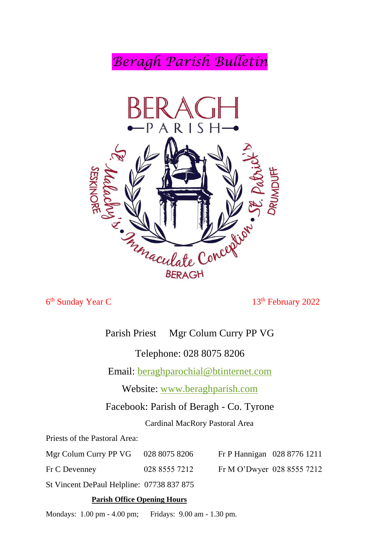*Beragh Parish Bulletin*



6<sup>th</sup> Sunday Year C

13<sup>th</sup> February 2022

# Parish Priest Mgr Colum Curry PP VG

Telephone: 028 8075 8206

Email: [beraghparochial@btinternet.com](mailto:beraghparochial@btinternet.com)

Website: [www.beraghparish.com](http://www.beraghparish.com/)

Facebook: Parish of Beragh - Co. Tyrone

Cardinal MacRory Pastoral Area

Priests of the Pastoral Area:

| Mgr Colum Curry PP VG 028 8075 8206       |               | Fr P Hannigan 028 8776 1211 |  |
|-------------------------------------------|---------------|-----------------------------|--|
| Fr C Devenney                             | 028 8555 7212 | Fr M O'Dwyer 028 8555 7212  |  |
| St Vincent DePaul Helpline: 07738 837 875 |               |                             |  |

#### **Parish Office Opening Hours**

Mondays: 1.00 pm - 4.00 pm; Fridays: 9.00 am - 1.30 pm.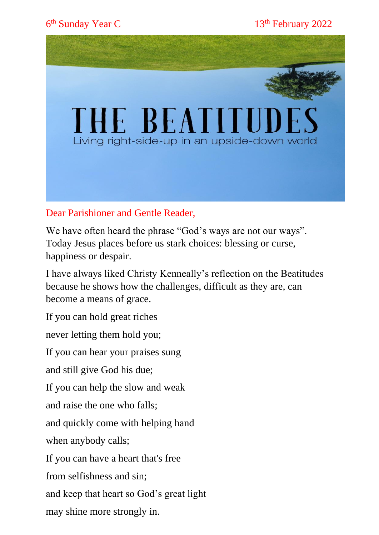6<sup>th</sup> Sunday Year C

13<sup>th</sup> February 2022



# Dear Parishioner and Gentle Reader,

We have often heard the phrase "God's ways are not our ways". Today Jesus places before us stark choices: blessing or curse, happiness or despair.

I have always liked Christy Kenneally's reflection on the Beatitudes because he shows how the challenges, difficult as they are, can become a means of grace.

If you can hold great riches

never letting them hold you;

If you can hear your praises sung

and still give God his due;

If you can help the slow and weak

and raise the one who falls;

and quickly come with helping hand

when anybody calls;

If you can have a heart that's free

from selfishness and sin;

and keep that heart so God's great light

may shine more strongly in.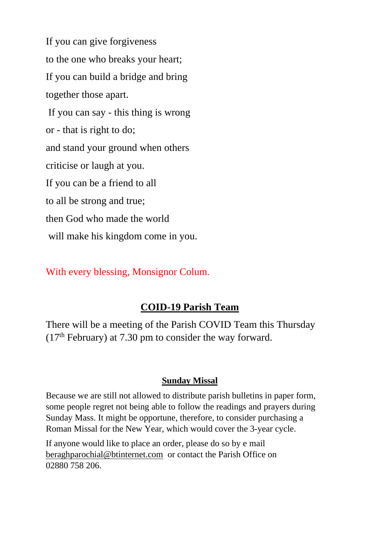If you can give forgiveness to the one who breaks your heart; If you can build a bridge and bring together those apart. If you can say - this thing is wrong or - that is right to do; and stand your ground when others criticise or laugh at you. If you can be a friend to all to all be strong and true; then God who made the world will make his kingdom come in you.

With every blessing, Monsignor Colum.

# **COID-19 Parish Team**

There will be a meeting of the Parish COVID Team this Thursday  $(17<sup>th</sup>$  February) at 7.30 pm to consider the way forward.

# **Sunday Missal**

Because we are still not allowed to distribute parish bulletins in paper form, some people regret not being able to follow the readings and prayers during Sunday Mass. It might be opportune, therefore, to consider purchasing a Roman Missal for the New Year, which would cover the 3-year cycle.

If anyone would like to place an order, please do so by e mail [beraghparochial@btinternet.com](mailto:beraghparochial@btinternet.com) or contact the Parish Office on 02880 758 206.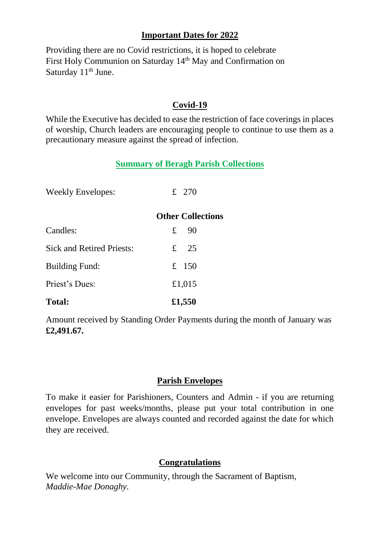## **Important Dates for 2022**

Providing there are no Covid restrictions, it is hoped to celebrate First Holy Communion on Saturday 14th May and Confirmation on Saturday  $11<sup>th</sup>$  June.

## **Covid-19**

While the Executive has decided to ease the restriction of face coverings in places of worship, Church leaders are encouraging people to continue to use them as a precautionary measure against the spread of infection.

## **Summary of Beragh Parish Collections**

| <b>Weekly Envelopes:</b>         | £ 270                    |
|----------------------------------|--------------------------|
|                                  | <b>Other Collections</b> |
| Candles:                         | $£$ 90                   |
| <b>Sick and Retired Priests:</b> | £ $25$                   |
| <b>Building Fund:</b>            | £ 150                    |
| Priest's Dues:                   | £1,015                   |
| <b>Total:</b>                    | £1,550                   |

Amount received by Standing Order Payments during the month of January was **£2,491.67.**

## **Parish Envelopes**

To make it easier for Parishioners, Counters and Admin - if you are returning envelopes for past weeks/months, please put your total contribution in one envelope. Envelopes are always counted and recorded against the date for which they are received.

## **Congratulations**

We welcome into our Community, through the Sacrament of Baptism, *Maddie-Mae Donaghy.*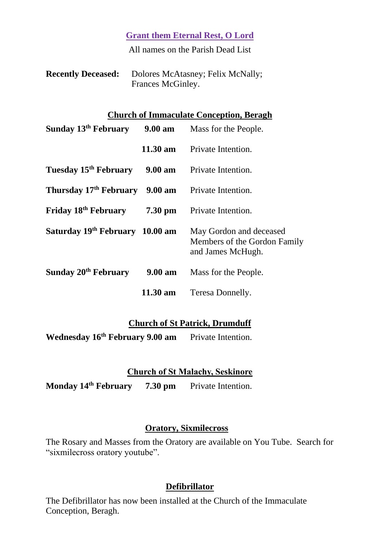**Grant them Eternal Rest, O Lord**

All names on the Parish Dead List

| <b>Recently Deceased:</b> | Dolores McAtasney; Felix McNally; |
|---------------------------|-----------------------------------|
|                           | Frances McGinley.                 |

#### **Church of Immaculate Conception, Beragh**

| <b>Sunday 13th February</b> 9.00 am Mass for the People.      |                    |                                                                              |
|---------------------------------------------------------------|--------------------|------------------------------------------------------------------------------|
|                                                               | $11.30 \text{ am}$ | Private Intention.                                                           |
| Tuesday 15 <sup>th</sup> February 9.00 am Private Intention.  |                    |                                                                              |
| Thursday 17 <sup>th</sup> February 9.00 am Private Intention. |                    |                                                                              |
| Friday $18th$ February 7.30 pm                                |                    | Private Intention.                                                           |
| Saturday 19 <sup>th</sup> February 10.00 am                   |                    | May Gordon and deceased<br>Members of the Gordon Family<br>and James McHugh. |
| Sunday 20 <sup>th</sup> February                              | $9.00 \text{ am}$  | Mass for the People.                                                         |
|                                                               | $11.30 \text{ am}$ | Teresa Donnelly.                                                             |

#### **Church of St Patrick, Drumduff**

**Wednesday 16th February 9.00 am** Private Intention.

#### **Church of St Malachy, Seskinore**

**Monday 14th February 7.30 pm** Private Intention.

#### **Oratory, Sixmilecross**

The Rosary and Masses from the Oratory are available on You Tube. Search for "sixmilecross oratory youtube".

#### **Defibrillator**

The Defibrillator has now been installed at the Church of the Immaculate Conception, Beragh.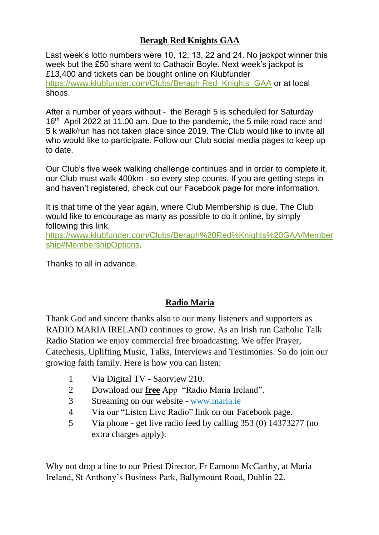# **Beragh Red Knights GAA**

Last week's lotto numbers were 10, 12, 13, 22 and 24. No jackpot winner this week but the £50 share went to Cathaoir Boyle. Next week's jackpot is £13,400 and tickets can be bought online on Klubfunder https://www.klubfunder.com/Clubs/Beragh Red Knights GAA or at local shops.

After a number of years without - the Beragh 5 is scheduled for Saturday 16<sup>th</sup> April 2022 at 11.00 am. Due to the pandemic, the 5 mile road race and 5 k walk/run has not taken place since 2019. The Club would like to invite all who would like to participate. Follow our Club social media pages to keep up to date.

Our Club's five week walking challenge continues and in order to complete it, our Club must walk 400km - so every step counts. If you are getting steps in and haven't registered, check out our Facebook page for more information.

It is that time of the year again, where Club Membership is due. The Club would like to encourage as many as possible to do it online, by simply following this link,

[https://www.klubfunder.com/Clubs/Beragh%20Red%Knights%20GAA/Member](https://www.klubfunder.com/Clubs/Beragh%20Red%25Knights%20GAA/Membership#MembershipOptions) [ship#MembershipOptions.](https://www.klubfunder.com/Clubs/Beragh%20Red%25Knights%20GAA/Membership#MembershipOptions)

Thanks to all in advance.

# **Radio Maria**

Thank God and sincere thanks also to our many listeners and supporters as RADIO MARIA IRELAND continues to grow. As an Irish run Catholic Talk Radio Station we enjoy commercial free broadcasting. We offer Prayer, Catechesis, Uplifting Music, Talks, Interviews and Testimonies. So do join our growing faith family. Here is how you can listen:

- 1 Via Digital TV Saorview 210.
- 2 Download our **free** App "Radio Maria Ireland".
- 3 Streaming on our website [www.maria.ie](http://www.maria.ie/)
- 4 Via our "Listen Live Radio" link on our Facebook page.
- 5 Via phone get live radio feed by calling 353 (0) 14373277 (no extra charges apply).

Why not drop a line to our Priest Director, Fr Eamonn McCarthy, at Maria Ireland, St Anthony's Business Park, Ballymount Road, Dublin 22.